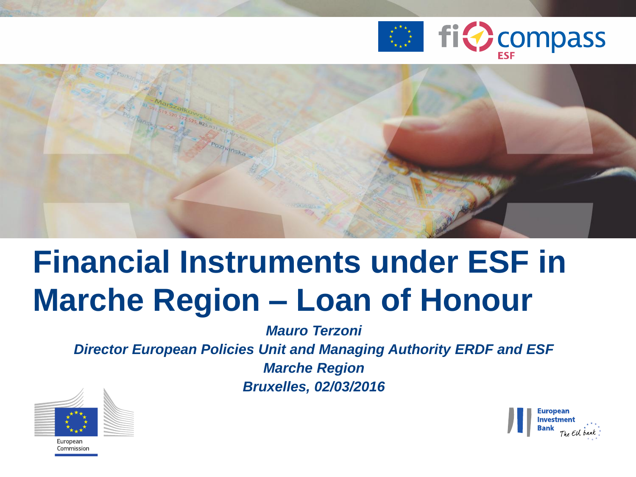



## **Financial Instruments under ESF in Marche Region – Loan of Honour**

*Mauro Terzoni*

*Director European Policies Unit and Managing Authority ERDF and ESF*

*Marche Region Bruxelles, 02/03/2016*

![](_page_0_Picture_6.jpeg)

![](_page_0_Picture_7.jpeg)

.<br>Commission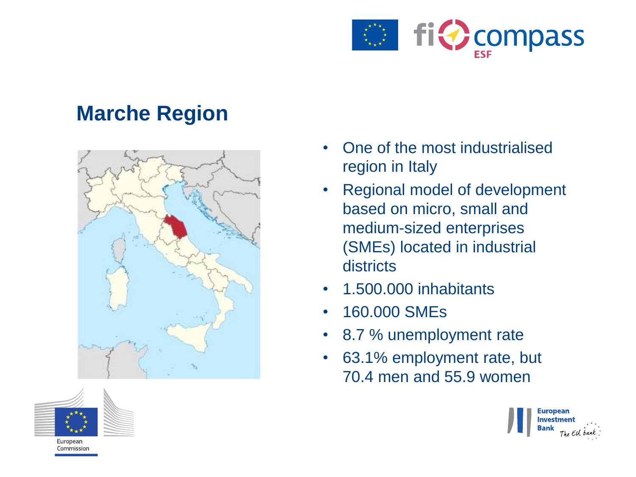![](_page_1_Picture_0.jpeg)

#### **Marche Region**

![](_page_1_Figure_2.jpeg)

![](_page_1_Picture_3.jpeg)

- Regional model of development based on micro, small and medium-sized enterprises (SMEs) located in industrial districts
- 1.500.000 inhabitants
- 160.000 SMEs
- 8.7 % unemployment rate
- 63.1% employment rate, but 70.4 men and 55.9 women

![](_page_1_Picture_9.jpeg)

![](_page_1_Picture_10.jpeg)

European Commission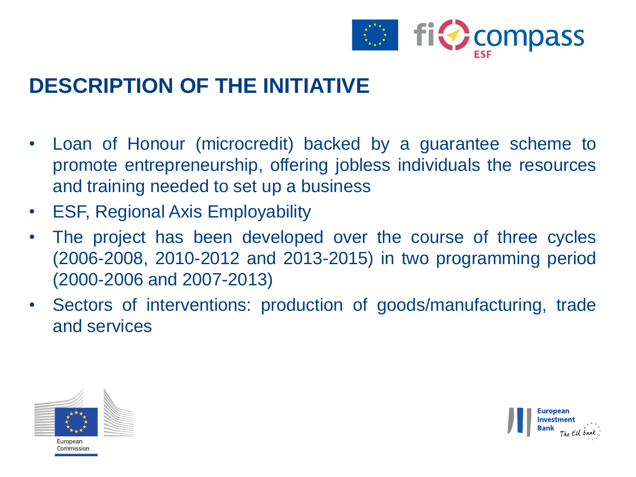![](_page_2_Picture_0.jpeg)

#### **DESCRIPTION OF THE INITIATIVE**

- Loan of Honour (microcredit) backed by a guarantee scheme to promote entrepreneurship, offering jobless individuals the resources and training needed to set up a business
- ESF, Regional Axis Employability
- The project has been developed over the course of three cycles (2006-2008, 2010-2012 and 2013-2015) in two programming period (2000-2006 and 2007-2013)
- Sectors of interventions: production of goods/manufacturing, trade and services

![](_page_2_Picture_6.jpeg)

![](_page_2_Picture_7.jpeg)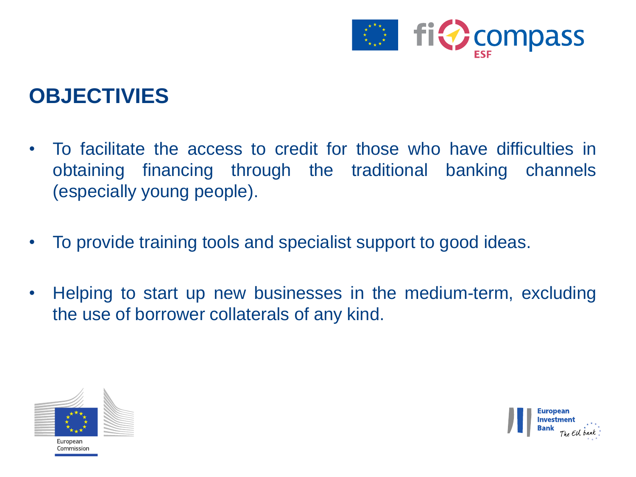![](_page_3_Picture_0.jpeg)

#### **OBJECTIVIES**

- To facilitate the access to credit for those who have difficulties in obtaining financing through the traditional banking channels (especially young people).
- To provide training tools and specialist support to good ideas.
- Helping to start up new businesses in the medium-term, excluding the use of borrower collaterals of any kind.

![](_page_3_Picture_5.jpeg)

![](_page_3_Picture_6.jpeg)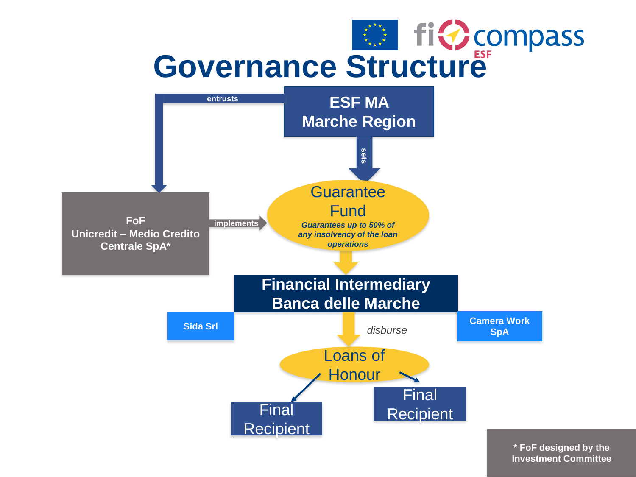# Governance Structure<sup>1</sup>

![](_page_4_Figure_1.jpeg)

**\* FoF designed by the Investment Committee**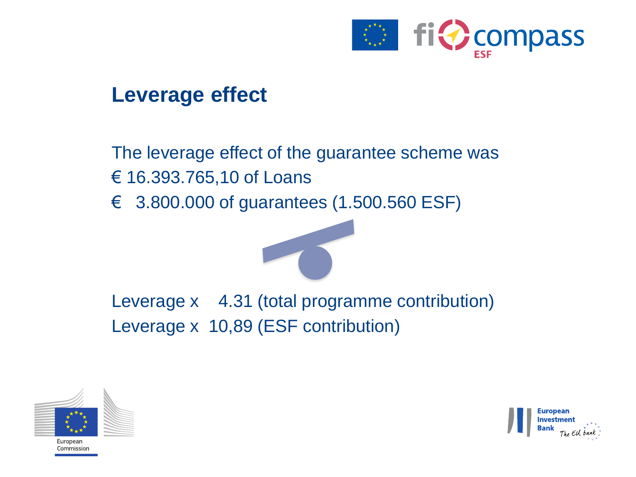![](_page_5_Picture_0.jpeg)

#### **Leverage effect**

#### The leverage effect of the guarantee scheme was € 16.393.765,10 of Loans

€ 3.800.000 of guarantees (1.500.560 ESF)

![](_page_5_Picture_4.jpeg)

![](_page_5_Picture_5.jpeg)

Investment **Bank** The EU bank

Europear .<br>Commission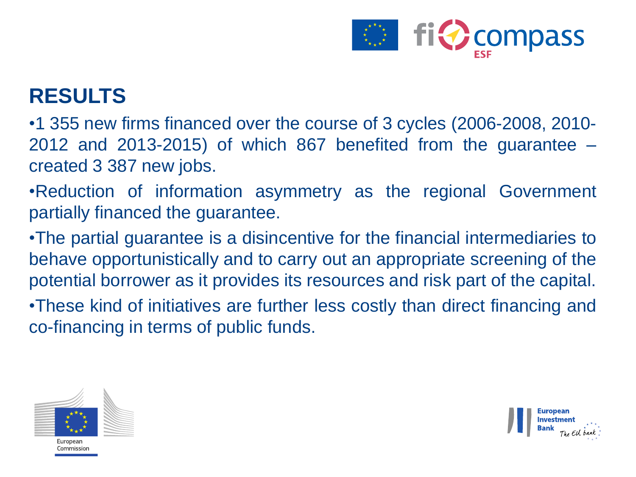![](_page_6_Picture_0.jpeg)

#### **RESULTS**

•1 355 new firms financed over the course of 3 cycles (2006-2008, 2010- 2012 and 2013-2015) of which 867 benefited from the guarantee – created 3 387 new jobs.

•Reduction of information asymmetry as the regional Government partially financed the guarantee.

•The partial guarantee is a disincentive for the financial intermediaries to behave opportunistically and to carry out an appropriate screening of the potential borrower as it provides its resources and risk part of the capital.

•These kind of initiatives are further less costly than direct financing and co-financing in terms of public funds.

![](_page_6_Picture_6.jpeg)

![](_page_6_Picture_7.jpeg)